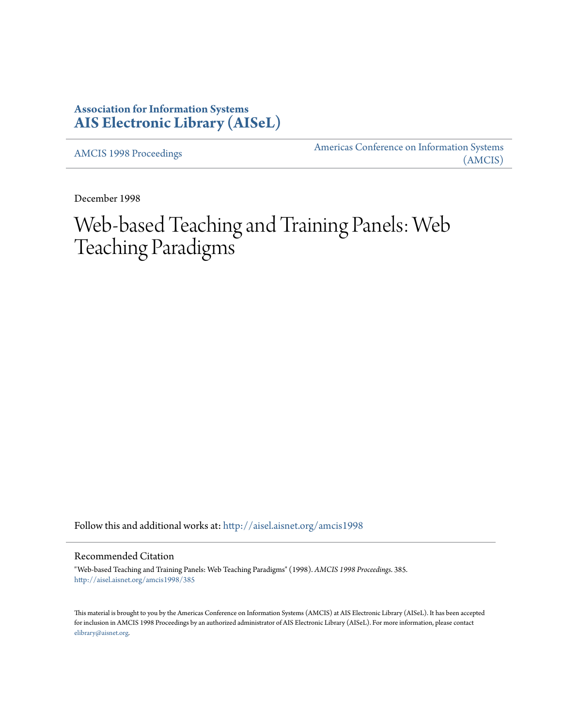## **Association for Information Systems [AIS Electronic Library \(AISeL\)](http://aisel.aisnet.org?utm_source=aisel.aisnet.org%2Famcis1998%2F385&utm_medium=PDF&utm_campaign=PDFCoverPages)**

[AMCIS 1998 Proceedings](http://aisel.aisnet.org/amcis1998?utm_source=aisel.aisnet.org%2Famcis1998%2F385&utm_medium=PDF&utm_campaign=PDFCoverPages)

[Americas Conference on Information Systems](http://aisel.aisnet.org/amcis?utm_source=aisel.aisnet.org%2Famcis1998%2F385&utm_medium=PDF&utm_campaign=PDFCoverPages) [\(AMCIS\)](http://aisel.aisnet.org/amcis?utm_source=aisel.aisnet.org%2Famcis1998%2F385&utm_medium=PDF&utm_campaign=PDFCoverPages)

December 1998

# Web-based Teaching and Training Panels: Web Teaching Paradigms

Follow this and additional works at: [http://aisel.aisnet.org/amcis1998](http://aisel.aisnet.org/amcis1998?utm_source=aisel.aisnet.org%2Famcis1998%2F385&utm_medium=PDF&utm_campaign=PDFCoverPages)

### Recommended Citation

"Web-based Teaching and Training Panels: Web Teaching Paradigms" (1998). *AMCIS 1998 Proceedings*. 385. [http://aisel.aisnet.org/amcis1998/385](http://aisel.aisnet.org/amcis1998/385?utm_source=aisel.aisnet.org%2Famcis1998%2F385&utm_medium=PDF&utm_campaign=PDFCoverPages)

This material is brought to you by the Americas Conference on Information Systems (AMCIS) at AIS Electronic Library (AISeL). It has been accepted for inclusion in AMCIS 1998 Proceedings by an authorized administrator of AIS Electronic Library (AISeL). For more information, please contact [elibrary@aisnet.org.](mailto:elibrary@aisnet.org%3E)